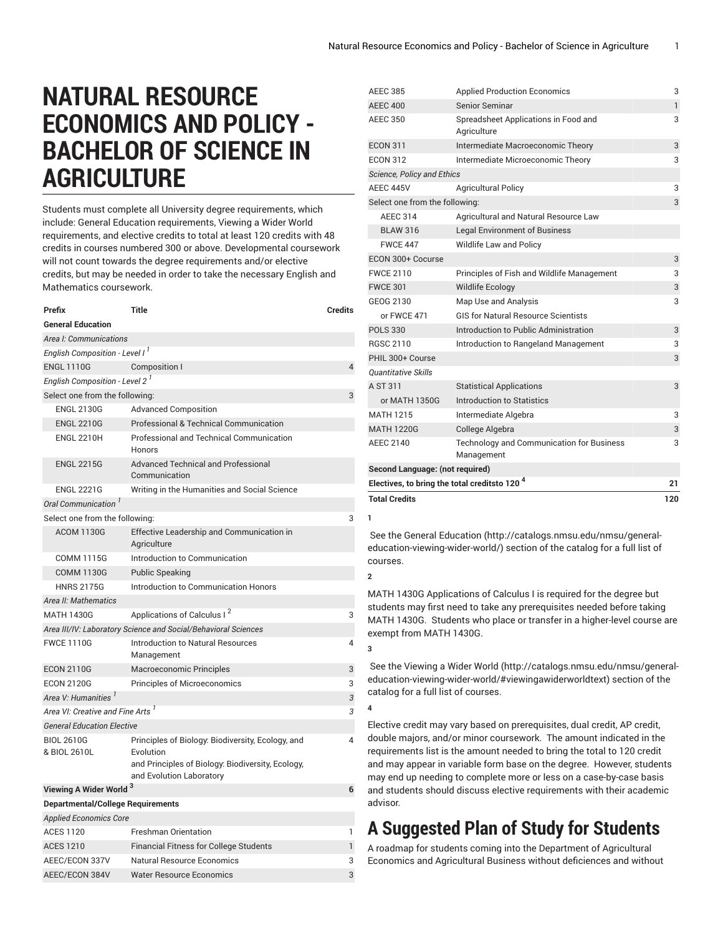# **NATURAL RESOURCE ECONOMICS AND POLICY - BACHELOR OF SCIENCE IN AGRICULTURE**

Students must complete all University degree requirements, which include: General Education requirements, Viewing a Wider World requirements, and elective credits to total at least 120 credits with 48 credits in courses numbered 300 or above. Developmental coursework will not count towards the degree requirements and/or elective credits, but may be needed in order to take the necessary English and Mathematics coursework.

| Prefix                                       | Title                                                                                                                                           | <b>Credits</b> |  |  |
|----------------------------------------------|-------------------------------------------------------------------------------------------------------------------------------------------------|----------------|--|--|
| <b>General Education</b>                     |                                                                                                                                                 |                |  |  |
| Area I: Communications                       |                                                                                                                                                 |                |  |  |
| English Composition - Level I <sup>1</sup>   |                                                                                                                                                 |                |  |  |
| <b>ENGL 1110G</b>                            | Composition I                                                                                                                                   | 4              |  |  |
| English Composition - Level 2 <sup>1</sup>   |                                                                                                                                                 |                |  |  |
| Select one from the following:               |                                                                                                                                                 | 3              |  |  |
| <b>ENGL 2130G</b>                            | <b>Advanced Composition</b>                                                                                                                     |                |  |  |
| <b>ENGL 2210G</b>                            | Professional & Technical Communication                                                                                                          |                |  |  |
| <b>ENGL 2210H</b>                            | <b>Professional and Technical Communication</b><br>Honors                                                                                       |                |  |  |
| <b>ENGL 2215G</b>                            | <b>Advanced Technical and Professional</b><br>Communication                                                                                     |                |  |  |
| <b>ENGL 2221G</b>                            | Writing in the Humanities and Social Science                                                                                                    |                |  |  |
| Oral Communication <sup>'</sup>              |                                                                                                                                                 |                |  |  |
| Select one from the following:               |                                                                                                                                                 | 3              |  |  |
| <b>ACOM 1130G</b>                            | Effective Leadership and Communication in<br>Agriculture                                                                                        |                |  |  |
| <b>COMM 1115G</b>                            | Introduction to Communication                                                                                                                   |                |  |  |
| <b>COMM 1130G</b>                            | <b>Public Speaking</b>                                                                                                                          |                |  |  |
| <b>HNRS 2175G</b>                            | Introduction to Communication Honors                                                                                                            |                |  |  |
| Area II: Mathematics                         |                                                                                                                                                 |                |  |  |
| <b>MATH 1430G</b>                            | Applications of Calculus I <sup>2</sup>                                                                                                         | 3              |  |  |
|                                              | Area III/IV: Laboratory Science and Social/Behavioral Sciences                                                                                  |                |  |  |
| <b>FWCE 1110G</b>                            | Introduction to Natural Resources<br>Management                                                                                                 | 4              |  |  |
| <b>ECON 2110G</b>                            | Macroeconomic Principles                                                                                                                        | 3              |  |  |
| <b>ECON 2120G</b>                            | <b>Principles of Microeconomics</b>                                                                                                             | 3              |  |  |
| Area V: Humanities <sup>1</sup>              |                                                                                                                                                 | 3              |  |  |
| Area VI: Creative and Fine Arts <sup>1</sup> |                                                                                                                                                 | 3              |  |  |
| <b>General Education Elective</b>            |                                                                                                                                                 |                |  |  |
| <b>BIOL 2610G</b><br>& BIOL 2610L            | Principles of Biology: Biodiversity, Ecology, and<br>Evolution<br>and Principles of Biology: Biodiversity, Ecology,<br>and Evolution Laboratory | 4              |  |  |
| Viewing A Wider World <sup>3</sup>           |                                                                                                                                                 | 6              |  |  |
| <b>Departmental/College Requirements</b>     |                                                                                                                                                 |                |  |  |
| <b>Applied Economics Core</b>                |                                                                                                                                                 |                |  |  |
| <b>ACES 1120</b>                             | <b>Freshman Orientation</b>                                                                                                                     | 1              |  |  |

ACES 1210 Financial Fitness for College Students 1 AEEC/ECON 337V Natural Resource Economics 3 AEEC/ECON 384V Water Resource Economics 33

| <b>Total Credits</b>                                     |                                                                | 120          |
|----------------------------------------------------------|----------------------------------------------------------------|--------------|
| Electives, to bring the total creditsto 120 <sup>4</sup> |                                                                | 21           |
| Second Language: (not required)                          |                                                                |              |
| <b>AEEC 2140</b>                                         | <b>Technology and Communication for Business</b><br>Management | 3            |
| <b>MATH 1220G</b>                                        | College Algebra                                                | 3            |
| <b>MATH 1215</b>                                         | Intermediate Algebra                                           | 3            |
| or MATH 1350G                                            | Introduction to Statistics                                     |              |
| A ST 311                                                 | <b>Statistical Applications</b>                                | 3            |
| Quantitative Skills                                      |                                                                |              |
| PHIL 300+ Course                                         |                                                                | 3            |
| <b>RGSC 2110</b>                                         | Introduction to Rangeland Management                           | 3            |
| <b>POLS 330</b>                                          | Introduction to Public Administration                          | 3            |
| or FWCE 471                                              | <b>GIS for Natural Resource Scientists</b>                     |              |
| GEOG 2130                                                | Map Use and Analysis                                           | 3            |
| <b>FWCE 301</b>                                          | <b>Wildlife Ecology</b>                                        | 3            |
| <b>FWCE 2110</b>                                         | Principles of Fish and Wildlife Management                     | 3            |
| ECON 300+ Cocurse                                        |                                                                | 3            |
| <b>FWCE 447</b>                                          | Wildlife Law and Policy                                        |              |
| <b>BLAW 316</b>                                          | <b>Legal Environment of Business</b>                           |              |
| <b>AEEC 314</b>                                          | Agricultural and Natural Resource Law                          |              |
| Select one from the following:                           |                                                                | 3            |
| AEEC 445V                                                | <b>Agricultural Policy</b>                                     | 3            |
| <b>Science, Policy and Ethics</b>                        |                                                                |              |
| <b>ECON 312</b>                                          | Intermediate Microeconomic Theory                              | 3            |
| <b>ECON 311</b>                                          | Intermediate Macroeconomic Theory                              | 3            |
| <b>AEEC 350</b>                                          | Spreadsheet Applications in Food and<br>Agriculture            | 3            |
| <b>AEEC 400</b>                                          | Senior Seminar                                                 | $\mathbf{1}$ |
| <b>AEEC 385</b>                                          | <b>Applied Production Economics</b>                            | 3            |

**1**

 See the General [Education](http://catalogs.nmsu.edu/nmsu/general-education-viewing-wider-world/) ([http://catalogs.nmsu.edu/nmsu/general](http://catalogs.nmsu.edu/nmsu/general-education-viewing-wider-world/)[education-viewing-wider-world/\)](http://catalogs.nmsu.edu/nmsu/general-education-viewing-wider-world/) section of the catalog for a full list of courses.

**2**

**3**

**4**

MATH 1430G Applications of Calculus I is required for the degree but students may first need to take any prerequisites needed before taking MATH 1430G. Students who place or transfer in a higher-level course are exempt from MATH 1430G.

 See the [Viewing](http://catalogs.nmsu.edu/nmsu/general-education-viewing-wider-world/#viewingawiderworldtext) a Wider World [\(http://catalogs.nmsu.edu/nmsu/general](http://catalogs.nmsu.edu/nmsu/general-education-viewing-wider-world/#viewingawiderworldtext)[education-viewing-wider-world/#viewingawiderworldtext\)](http://catalogs.nmsu.edu/nmsu/general-education-viewing-wider-world/#viewingawiderworldtext) section of the catalog for a full list of courses.

Elective credit may vary based on prerequisites, dual credit, AP credit, double majors, and/or minor coursework. The amount indicated in the requirements list is the amount needed to bring the total to 120 credit and may appear in variable form base on the degree. However, students may end up needing to complete more or less on a case-by-case basis and students should discuss elective requirements with their academic advisor.

## **A Suggested Plan of Study for Students**

A roadmap for students coming into the Department of Agricultural Economics and Agricultural Business without deficiences and without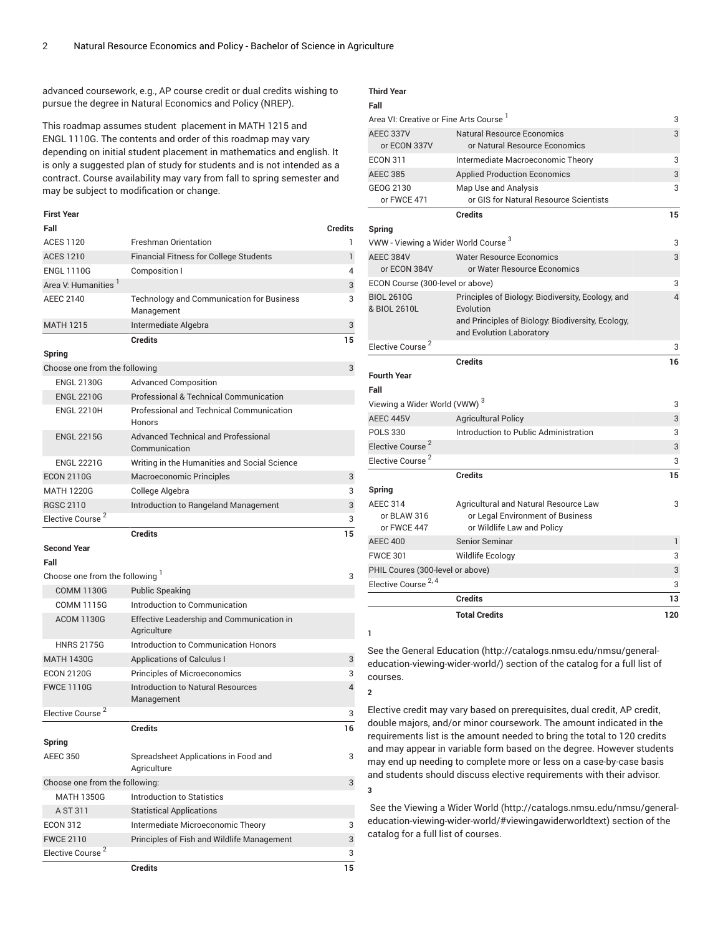advanced coursework, e.g., AP course credit or dual credits wishing to pursue the degree in Natural Economics and Policy (NREP).

This roadmap assumes student placement in MATH 1215 and ENGL 1110G. The contents and order of this roadmap may vary depending on initial student placement in mathematics and english. It is only a suggested plan of study for students and is not intended as a contract. Course availability may vary from fall to spring semester and may be subject to modification or change.

#### **First Year**

| Fall                            |                                                                  | <b>Credits</b> |
|---------------------------------|------------------------------------------------------------------|----------------|
| <b>ACES 1120</b>                | <b>Freshman Orientation</b>                                      | 1              |
| <b>ACES 1210</b>                | Financial Fitness for College Students                           | $\mathbf{1}$   |
| <b>ENGL 1110G</b>               | Composition I                                                    | 4              |
| Area V: Humanities              |                                                                  | 3              |
| <b>AEEC 2140</b>                | <b>Technology and Communication for Business</b><br>Management   | 3              |
| <b>MATH 1215</b>                | Intermediate Algebra                                             | 3              |
|                                 | <b>Credits</b>                                                   | 15             |
| <b>Spring</b>                   |                                                                  |                |
| Choose one from the following   |                                                                  | 3              |
| <b>ENGL 2130G</b>               | <b>Advanced Composition</b>                                      |                |
| <b>ENGL 2210G</b>               | Professional & Technical Communication                           |                |
| <b>ENGL 2210H</b>               | <b>Professional and Technical Communication</b><br><b>Honors</b> |                |
| <b>ENGL 2215G</b>               | Advanced Technical and Professional<br>Communication             |                |
| <b>ENGL 2221G</b>               | Writing in the Humanities and Social Science                     |                |
| <b>ECON 2110G</b>               | Macroeconomic Principles                                         | 3              |
| <b>MATH 1220G</b>               | College Algebra                                                  | 3              |
| <b>RGSC 2110</b>                | Introduction to Rangeland Management                             | 3              |
| Elective Course <sup>2</sup>    |                                                                  | 3              |
|                                 | <b>Credits</b>                                                   | 15             |
| <b>Second Year</b><br>Fall      |                                                                  |                |
| Choose one from the following 1 |                                                                  | 3              |
| <b>COMM 1130G</b>               | <b>Public Speaking</b>                                           |                |
| <b>COMM 1115G</b>               | Introduction to Communication                                    |                |
| <b>ACOM 1130G</b>               | Effective Leadership and Communication in<br>Agriculture         |                |
| <b>HNRS 2175G</b>               | Introduction to Communication Honors                             |                |
| <b>MATH 1430G</b>               | <b>Applications of Calculus I</b>                                | 3              |
| <b>ECON 2120G</b>               | <b>Principles of Microeconomics</b>                              | 3              |
| <b>FWCE 1110G</b>               | <b>Introduction to Natural Resources</b><br>Management           | $\overline{4}$ |
| Elective Course <sup>2</sup>    |                                                                  | 3              |
|                                 | <b>Credits</b>                                                   | 16             |
| Spring                          |                                                                  |                |
| <b>AEEC 350</b>                 | Spreadsheet Applications in Food and<br>Agriculture              | 3              |
| Choose one from the following:  |                                                                  | 3              |
| <b>MATH 1350G</b>               | <b>Introduction to Statistics</b>                                |                |
| A ST 311                        | <b>Statistical Applications</b>                                  |                |
| <b>ECON 312</b>                 | Intermediate Microeconomic Theory                                | 3              |
| <b>FWCE 2110</b>                | Principles of Fish and Wildlife Management                       | 3              |
| Elective Course <sup>2</sup>    |                                                                  | 3              |

**Credits 15**

### **Third Year**

**1**

**2**

**3**

|                                                                        | <b>Total Credits</b>                                                                                    | 120    |
|------------------------------------------------------------------------|---------------------------------------------------------------------------------------------------------|--------|
|                                                                        | <b>Credits</b>                                                                                          | 13     |
| Elective Course <sup>2, 4</sup>                                        |                                                                                                         | 3      |
| PHIL Coures (300-level or above)                                       |                                                                                                         | 3      |
| <b>FWCE 301</b>                                                        | Wildlife Ecology                                                                                        | 3      |
| <b>AEEC 400</b>                                                        | Senior Seminar                                                                                          | 1      |
| <b>AEEC 314</b><br>or BLAW 316<br>or FWCE 447                          | Agricultural and Natural Resource Law<br>or Legal Environment of Business<br>or Wildlife Law and Policy | 3      |
| Spring                                                                 |                                                                                                         |        |
|                                                                        | <b>Credits</b>                                                                                          | 15     |
| Elective Course <sup>2</sup>                                           |                                                                                                         | 3      |
| Elective Course <sup>2</sup>                                           |                                                                                                         | 3      |
| <b>POLS 330</b>                                                        | Introduction to Public Administration                                                                   | 3      |
| AEEC 445V                                                              | <b>Agricultural Policy</b>                                                                              | 3      |
| <b>Fourth Year</b><br>Fall<br>Viewing a Wider World (VWW) <sup>3</sup> |                                                                                                         | 3      |
|                                                                        | <b>Credits</b>                                                                                          | 16     |
| Elective Course                                                        |                                                                                                         | 3      |
| & BIOL 2610L                                                           | Evolution<br>and Principles of Biology: Biodiversity, Ecology,<br>and Evolution Laboratory              |        |
| ECON Course (300-level or above)<br><b>BIOL 2610G</b>                  | Principles of Biology: Biodiversity, Ecology, and                                                       | 3<br>4 |
| or ECON 384V                                                           | or Water Resource Economics                                                                             |        |
| AEEC 384V                                                              | <b>Water Resource Economics</b>                                                                         | 3      |
| VWW - Viewing a Wider World Course 3                                   |                                                                                                         | 3      |
| Spring                                                                 | <b>Credits</b>                                                                                          | 15     |
| GEOG 2130<br>or FWCE 471                                               | Map Use and Analysis<br>or GIS for Natural Resource Scientists                                          | 3      |
| <b>AEEC 385</b>                                                        | <b>Applied Production Economics</b>                                                                     | 3      |
| <b>ECON 311</b>                                                        | Intermediate Macroeconomic Theory                                                                       | 3      |
| AEEC 337V<br>or ECON 337V                                              | <b>Natural Resource Economics</b><br>or Natural Resource Economics                                      | 3      |
| Area VI: Creative or Fine Arts Course <sup>1</sup>                     |                                                                                                         |        |

See the General [Education](http://catalogs.nmsu.edu/nmsu/general-education-viewing-wider-world/) ([http://catalogs.nmsu.edu/nmsu/general](http://catalogs.nmsu.edu/nmsu/general-education-viewing-wider-world/)[education-viewing-wider-world/\)](http://catalogs.nmsu.edu/nmsu/general-education-viewing-wider-world/) section of the catalog for a full list of courses.

Elective credit may vary based on prerequisites, dual credit, AP credit, double majors, and/or minor coursework. The amount indicated in the requirements list is the amount needed to bring the total to 120 credits and may appear in variable form based on the degree. However students may end up needing to complete more or less on a case-by-case basis and students should discuss elective requirements with their advisor.

 See the [Viewing](http://catalogs.nmsu.edu/nmsu/general-education-viewing-wider-world/#viewingawiderworldtext) a Wider World [\(http://catalogs.nmsu.edu/nmsu/general](http://catalogs.nmsu.edu/nmsu/general-education-viewing-wider-world/#viewingawiderworldtext)[education-viewing-wider-world/#viewingawiderworldtext\)](http://catalogs.nmsu.edu/nmsu/general-education-viewing-wider-world/#viewingawiderworldtext) section of the catalog for a full list of courses.